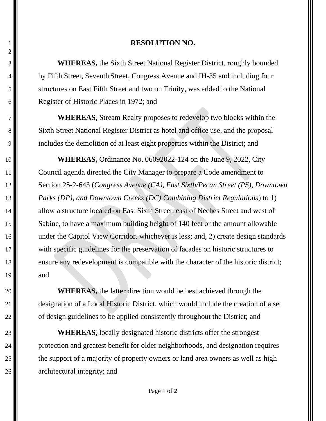## 1 **RESOLUTION NO.**

 **WHEREAS,** the Sixth Street National Register District, roughly bounded by Fifth Street, Seventh Street, Congress Avenue and IH-35 and including four 5. SW structures on East Fifth Street and two on Trinity, was added to the National Register of Historic Places in 1972; and

7 **WHEREAS,** Stream Realty proposes to redevelop two blocks within the 8. Sixth Street National Register District as hotel and office use, and the proposal 9. includes the demolition of at least eight properties within the District; and

10 **WHEREAS,** Ordinance No. 06092022-124 on the June 9, 2022, City 11 Council agenda directed the City Manager to prepare a Code amendment to 12 Section 25-2-643 (*Congress Avenue (CA), East Sixth/Pecan Street (PS), Downtown*  13 *Parks (DP), and Downtown Creeks (DC) Combining District Regulations*) to 1) 14 allow a structure located on East Sixth Street, east of Neches Street and west of 15  $\blacksquare$  Sabine, to have a maximum building height of 140 feet or the amount allowable 16 under the Capitol View Corridor, whichever is less; and, 2) create design standards 17 with specific guidelines for the preservation of facades on historic structures to 18 ensure any redevelopment is compatible with the character of the historic district;  $19$  and

20 **WHEREAS**, the latter direction would be best achieved through the 21 designation of a Local Historic District, which would include the creation of a set  $22$  of design guidelines to be applied consistently throughout the District; and

23 **WHEREAS,** locally designated historic districts offer the strongest 24  $\parallel$  protection and greatest benefit for older neighborhoods, and designation requires 25. 26 architectural integrity; and